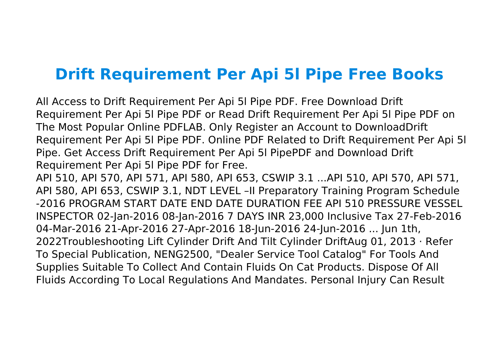## **Drift Requirement Per Api 5l Pipe Free Books**

All Access to Drift Requirement Per Api 5l Pipe PDF. Free Download Drift Requirement Per Api 5l Pipe PDF or Read Drift Requirement Per Api 5l Pipe PDF on The Most Popular Online PDFLAB. Only Register an Account to DownloadDrift Requirement Per Api 5l Pipe PDF. Online PDF Related to Drift Requirement Per Api 5l Pipe. Get Access Drift Requirement Per Api 5l PipePDF and Download Drift Requirement Per Api 5l Pipe PDF for Free.

API 510, API 570, API 571, API 580, API 653, CSWIP 3.1 ...API 510, API 570, API 571, API 580, API 653, CSWIP 3.1, NDT LEVEL –II Preparatory Training Program Schedule -2016 PROGRAM START DATE END DATE DURATION FEE API 510 PRESSURE VESSEL INSPECTOR 02-Jan-2016 08-Jan-2016 7 DAYS INR 23,000 Inclusive Tax 27-Feb-2016 04-Mar-2016 21-Apr-2016 27-Apr-2016 18-Jun-2016 24-Jun-2016 ... Jun 1th, 2022Troubleshooting Lift Cylinder Drift And Tilt Cylinder DriftAug 01, 2013 · Refer To Special Publication, NENG2500, "Dealer Service Tool Catalog" For Tools And Supplies Suitable To Collect And Contain Fluids On Cat Products. Dispose Of All Fluids According To Local Regulations And Mandates. Personal Injury Can Result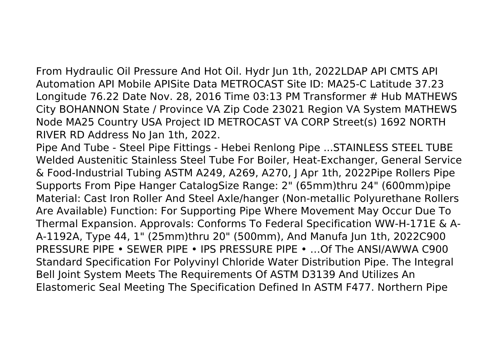From Hydraulic Oil Pressure And Hot Oil. Hydr Jun 1th, 2022LDAP API CMTS API Automation API Mobile APISite Data METROCAST Site ID: MA25-C Latitude 37.23 Longitude 76.22 Date Nov. 28, 2016 Time 03:13 PM Transformer # Hub MATHEWS City BOHANNON State / Province VA Zip Code 23021 Region VA System MATHEWS Node MA25 Country USA Project ID METROCAST VA CORP Street(s) 1692 NORTH RIVER RD Address No Jan 1th, 2022.

Pipe And Tube - Steel Pipe Fittings - Hebei Renlong Pipe ...STAINLESS STEEL TUBE Welded Austenitic Stainless Steel Tube For Boiler, Heat-Exchanger, General Service & Food-Industrial Tubing ASTM A249, A269, A270, J Apr 1th, 2022Pipe Rollers Pipe Supports From Pipe Hanger CatalogSize Range: 2" (65mm)thru 24" (600mm)pipe Material: Cast Iron Roller And Steel Axle/hanger (Non-metallic Polyurethane Rollers Are Available) Function: For Supporting Pipe Where Movement May Occur Due To Thermal Expansion. Approvals: Conforms To Federal Specification WW-H-171E & A-A-1192A, Type 44, 1" (25mm)thru 20" (500mm), And Manufa Jun 1th, 2022C900 PRESSURE PIPE • SEWER PIPE • IPS PRESSURE PIPE • …Of The ANSI/AWWA C900 Standard Specification For Polyvinyl Chloride Water Distribution Pipe. The Integral Bell Joint System Meets The Requirements Of ASTM D3139 And Utilizes An Elastomeric Seal Meeting The Specification Defined In ASTM F477. Northern Pipe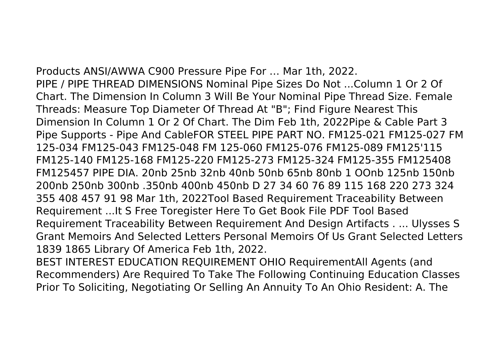Products ANSI/AWWA C900 Pressure Pipe For … Mar 1th, 2022. PIPE / PIPE THREAD DIMENSIONS Nominal Pipe Sizes Do Not ...Column 1 Or 2 Of Chart. The Dimension In Column 3 Will Be Your Nominal Pipe Thread Size. Female Threads: Measure Top Diameter Of Thread At "B"; Find Figure Nearest This Dimension In Column 1 Or 2 Of Chart. The Dim Feb 1th, 2022Pipe & Cable Part 3 Pipe Supports - Pipe And CableFOR STEEL PIPE PART NO. FM125-021 FM125-027 FM 125-034 FM125-043 FM125-048 FM 125-060 FM125-076 FM125-089 FM125'115 FM125-140 FM125-168 FM125-220 FM125-273 FM125-324 FM125-355 FM125408 FM125457 PIPE DIA. 20nb 25nb 32nb 40nb 50nb 65nb 80nb 1 OOnb 125nb 150nb 200nb 250nb 300nb .350nb 400nb 450nb D 27 34 60 76 89 115 168 220 273 324 355 408 457 91 98 Mar 1th, 2022Tool Based Requirement Traceability Between Requirement ...It S Free Toregister Here To Get Book File PDF Tool Based Requirement Traceability Between Requirement And Design Artifacts . ... Ulysses S Grant Memoirs And Selected Letters Personal Memoirs Of Us Grant Selected Letters 1839 1865 Library Of America Feb 1th, 2022.

BEST INTEREST EDUCATION REQUIREMENT OHIO RequirementAll Agents (and Recommenders) Are Required To Take The Following Continuing Education Classes Prior To Soliciting, Negotiating Or Selling An Annuity To An Ohio Resident: A. The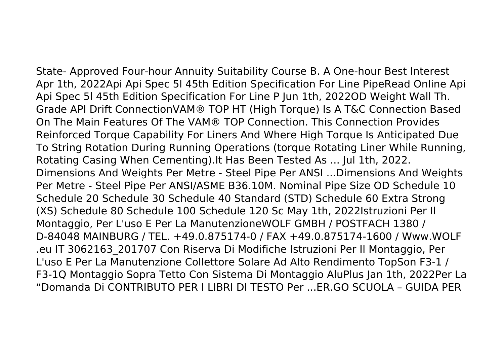State- Approved Four-hour Annuity Suitability Course B. A One-hour Best Interest Apr 1th, 2022Api Api Spec 5l 45th Edition Specification For Line PipeRead Online Api Api Spec 5l 45th Edition Specification For Line P Jun 1th, 2022OD Weight Wall Th. Grade API Drift ConnectionVAM® TOP HT (High Torque) Is A T&C Connection Based On The Main Features Of The VAM® TOP Connection. This Connection Provides Reinforced Torque Capability For Liners And Where High Torque Is Anticipated Due To String Rotation During Running Operations (torque Rotating Liner While Running, Rotating Casing When Cementing).It Has Been Tested As ... Jul 1th, 2022. Dimensions And Weights Per Metre - Steel Pipe Per ANSI ...Dimensions And Weights Per Metre - Steel Pipe Per ANSI/ASME B36.10M. Nominal Pipe Size OD Schedule 10 Schedule 20 Schedule 30 Schedule 40 Standard (STD) Schedule 60 Extra Strong (XS) Schedule 80 Schedule 100 Schedule 120 Sc May 1th, 2022Istruzioni Per Il Montaggio, Per L'uso E Per La ManutenzioneWOLF GMBH / POSTFACH 1380 / D-84048 MAINBURG / TEL. +49.0.875174-0 / FAX +49.0.875174-1600 / Www.WOLF .eu IT 3062163\_201707 Con Riserva Di Modifiche Istruzioni Per Il Montaggio, Per L'uso E Per La Manutenzione Collettore Solare Ad Alto Rendimento TopSon F3-1 / F3-1Q Montaggio Sopra Tetto Con Sistema Di Montaggio AluPlus Jan 1th, 2022Per La "Domanda Di CONTRIBUTO PER I LIBRI DI TESTO Per ...ER.GO SCUOLA – GUIDA PER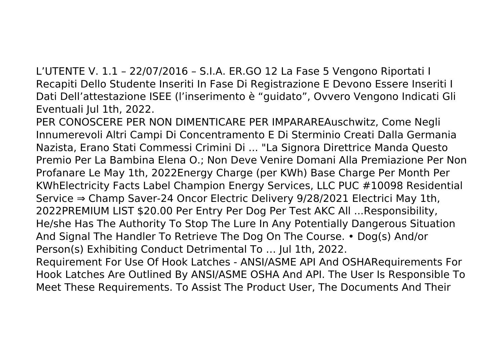L'UTENTE V. 1.1 – 22/07/2016 – S.I.A. ER.GO 12 La Fase 5 Vengono Riportati I Recapiti Dello Studente Inseriti In Fase Di Registrazione E Devono Essere Inseriti I Dati Dell'attestazione ISEE (l'inserimento è "guidato", Ovvero Vengono Indicati Gli Eventuali Jul 1th, 2022.

PER CONOSCERE PER NON DIMENTICARE PER IMPARAREAuschwitz, Come Negli Innumerevoli Altri Campi Di Concentramento E Di Sterminio Creati Dalla Germania Nazista, Erano Stati Commessi Crimini Di ... "La Signora Direttrice Manda Questo Premio Per La Bambina Elena O.; Non Deve Venire Domani Alla Premiazione Per Non Profanare Le May 1th, 2022Energy Charge (per KWh) Base Charge Per Month Per KWhElectricity Facts Label Champion Energy Services, LLC PUC #10098 Residential Service ⇒ Champ Saver-24 Oncor Electric Delivery 9/28/2021 Electrici May 1th, 2022PREMIUM LIST \$20.00 Per Entry Per Dog Per Test AKC All ...Responsibility, He/she Has The Authority To Stop The Lure In Any Potentially Dangerous Situation And Signal The Handler To Retrieve The Dog On The Course. • Dog(s) And/or Person(s) Exhibiting Conduct Detrimental To … Jul 1th, 2022. Requirement For Use Of Hook Latches - ANSI/ASME API And OSHARequirements For Hook Latches Are Outlined By ANSI/ASME OSHA And API. The User Is Responsible To Meet These Requirements. To Assist The Product User, The Documents And Their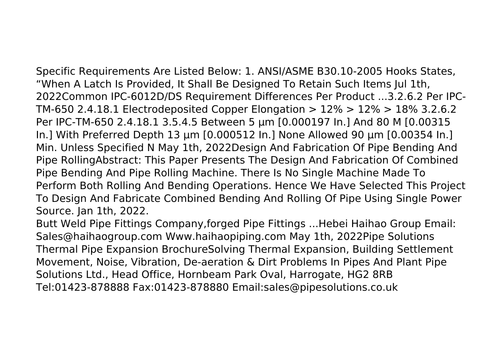Specific Requirements Are Listed Below: 1. ANSI/ASME B30.10-2005 Hooks States, "When A Latch Is Provided, It Shall Be Designed To Retain Such Items Jul 1th, 2022Common IPC-6012D/DS Requirement Differences Per Product ...3.2.6.2 Per IPC-TM-650 2.4.18.1 Electrodeposited Copper Elongation > 12% > 12% > 18% 3.2.6.2 Per IPC-TM-650 2.4.18.1 3.5.4.5 Between 5 µm [0.000197 In.] And 80 M [0.00315 In.] With Preferred Depth 13 µm [0.000512 In.] None Allowed 90 µm [0.00354 In.] Min. Unless Specified N May 1th, 2022Design And Fabrication Of Pipe Bending And Pipe RollingAbstract: This Paper Presents The Design And Fabrication Of Combined Pipe Bending And Pipe Rolling Machine. There Is No Single Machine Made To Perform Both Rolling And Bending Operations. Hence We Have Selected This Project To Design And Fabricate Combined Bending And Rolling Of Pipe Using Single Power Source. Jan 1th, 2022.

Butt Weld Pipe Fittings Company,forged Pipe Fittings ...Hebei Haihao Group Email: Sales@haihaogroup.com Www.haihaopiping.com May 1th, 2022Pipe Solutions Thermal Pipe Expansion BrochureSolving Thermal Expansion, Building Settlement Movement, Noise, Vibration, De-aeration & Dirt Problems In Pipes And Plant Pipe Solutions Ltd., Head Office, Hornbeam Park Oval, Harrogate, HG2 8RB Tel:01423-878888 Fax:01423-878880 Email:sales@pipesolutions.co.uk